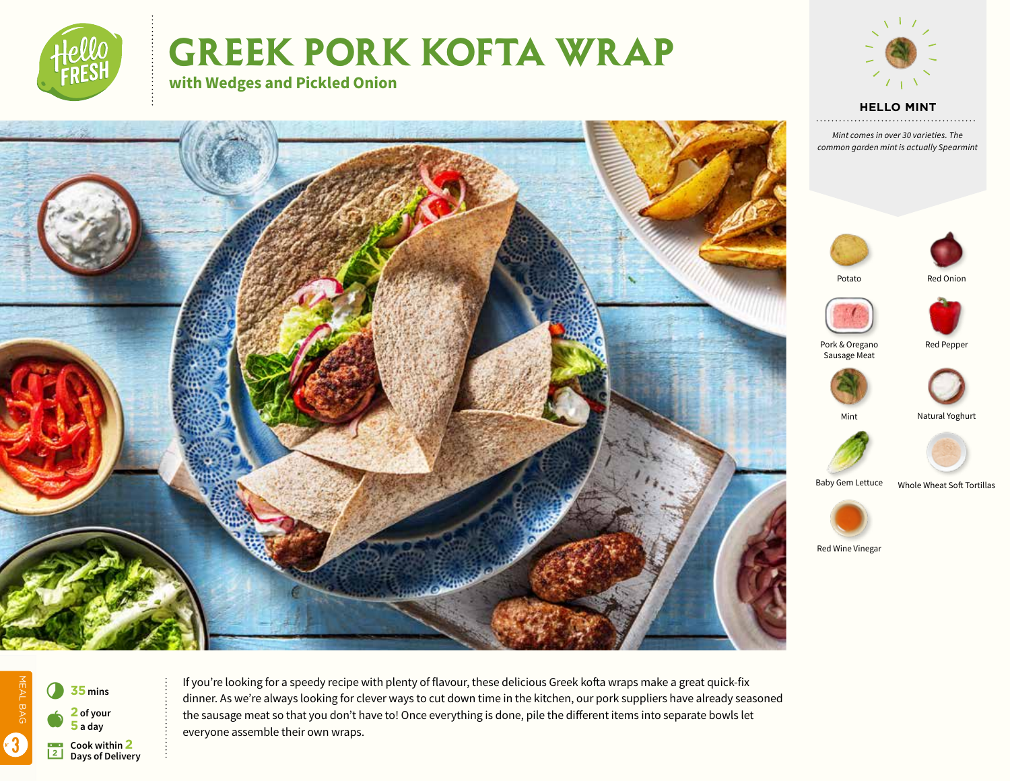

# **Greek pork kofta Wrap**





**HELLO MINT**

*Mint comes in over 30 varieties. The common garden mint is actually Spearmint*









Pork & Oregano Red Pepper Sausage Meat







Baby Gem Lettuce Whole Wheat Soft Tortillas



Red Wine Vinegar





If you're looking for a speedy recipe with plenty of flavour, these delicious Greek kofta wraps make a great quick-fix dinner. As we're always looking for clever ways to cut down time in the kitchen, our pork suppliers have already seasoned the sausage meat so that you don't have to! Once everything is done, pile the different items into separate bowls let everyone assemble their own wraps.